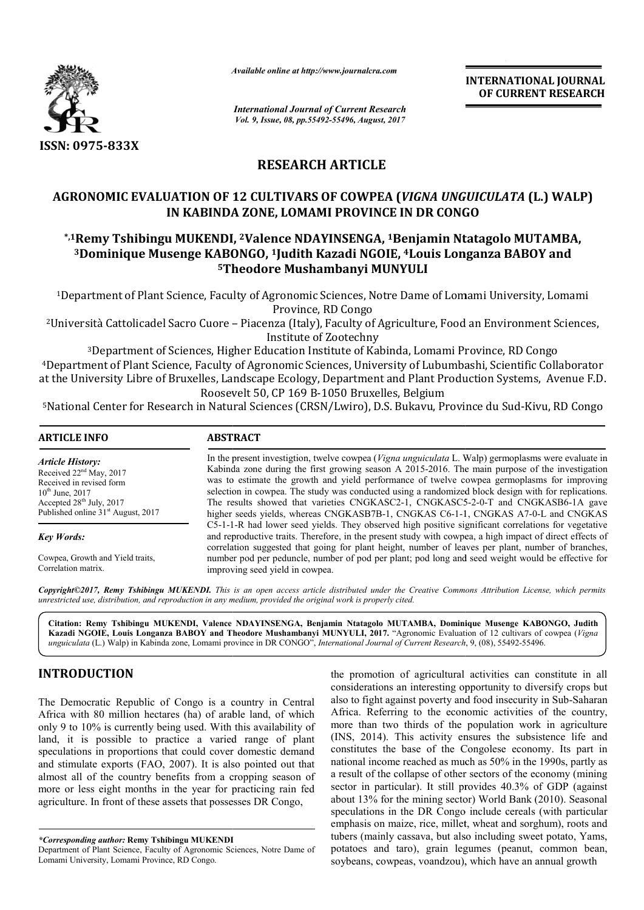

*Available online at http://www.journal http://www.journalcra.com*

*International Journal of Current Research Vol. 9, Issue, 08, pp.55492-55496, August, 2017*

**INTERNATIONAL JOURNAL OF CURRENT RESEARCH** 

# **RESEARCH ARTICLE**

## **AGRONOMIC EVALUATION OF 12 CULTIVARS OF COWPEA (***VIGNA UNGUICULATA* **(L.) WALP) IN KABINDA ZONE, LOMAMI PROVINCE IN DR CONGO**

### \*,1Remy Tshibingu MUKENDI, <sup>2</sup>Valence NDAYINSENGA, <sup>1</sup>Benjamin Ntatagolo MUTAMBA,  $^3$ Dominique Musenge KABONGO, <sup>1</sup>Judith Kazadi NGOIE, <sup>4</sup>Louis Longanza BABOY and **5Theodore Mushambanyi MUNYULI Theodore**

<sup>1</sup>Department of Plant Science, Faculty of Agronomic Sciences, Notre Dame of Lomami University, Lomami Province, RD Congo

2Università Cattolicadel Sacro Cuore – Piacenza (Italy), Faculty of Agriculture, Food an Agriculture, Food Environment Sciences, Institute of Zootechny

<sup>3</sup>Department of Sciences, Higher Education Institute of Kabinda, Lomami Province, RD Congo <sup>4</sup>Department of Plant Science, Faculty of Agronomic Sciences, University of Lubumbashi, Scientific Collaborator at the University Libre of Bruxelles, Landscape Ecology, Department and Plant Production Systems, Avenue F.D. Roosevelt 50, CP 169 B-1050 Bruxelles, Belgium 4Department of Plant Science, Faculty of Agronomic Sciences, University of Lubumbashi, Scientific Collaborator<br>It the University Libre of Bruxelles, Landscape Ecology, Department and Plant Production Systems, Avenue F.D.<br>5

| <b>ARTICLE INFO</b>                            | <b>ABSTRACT</b>                                                                                                                                                                                                                                                                                                       |  |  |  |  |
|------------------------------------------------|-----------------------------------------------------------------------------------------------------------------------------------------------------------------------------------------------------------------------------------------------------------------------------------------------------------------------|--|--|--|--|
| <b>Article History:</b>                        | In the present investigion, twelve cowpea (Vigna unguiculata L. Walp) germoplasms were evaluate in                                                                                                                                                                                                                    |  |  |  |  |
| Received $22nd$ May, 2017                      | Kabinda zone during the first growing season A 2015-2016. The main purpose of the investigation                                                                                                                                                                                                                       |  |  |  |  |
| Received in revised form                       | was to estimate the growth and yield performance of twelve cowpea germoplasms for improving                                                                                                                                                                                                                           |  |  |  |  |
| $10^{th}$ June, 2017                           | selection in cowpea. The study was conducted using a randomized block design with for replications.                                                                                                                                                                                                                   |  |  |  |  |
| Accepted $28th$ July, 2017                     | The results showed that varieties CNGKASC2-1, CNGKASC5-2-0-T and CNGKASB6-1A gave                                                                                                                                                                                                                                     |  |  |  |  |
| Published online 31 <sup>st</sup> August, 2017 | higher seeds yields, whereas CNGKASB7B-1, CNGKAS C6-1-1, CNGKAS A7-0-L and CNGKAS                                                                                                                                                                                                                                     |  |  |  |  |
| <b>Key Words:</b>                              | C5-1-1-R had lower seed yields. They observed high positive significant correlations for vegetative<br>and reproductive traits. Therefore, in the present study with cowpea, a high impact of direct effects of<br>correlation suggested that going for plant height, number of leaves per plant, number of branches, |  |  |  |  |
| Cowpea, Growth and Yield traits,               | number pod per peduncle, number of pod per plant; pod long and seed weight would be effective for                                                                                                                                                                                                                     |  |  |  |  |
| Correlation matrix.                            | improving seed yield in cowpea.                                                                                                                                                                                                                                                                                       |  |  |  |  |

*Copyright©2017, Remy Tshibingu MUKENDI. This is an open access article distributed under the Creative Commons Att under Commons Attribution License, which permits unrestricted use, distribution, and reproduction in any medium, provided the original work is properly cited.*

**Citation: Remy Tshibingu MUKENDI, Valence NDAYINSENGA, Benjamin Ntatagolo MUTAMBA, Dominique Musenge KABONGO, Judith Musenge Kazadi NGOIE, Louis Longanza BABOY and Theodore Mushambanyi MUNYULI, 2017.** "Agronomic Evaluation of 12 cultivars of cowpea Agronomic Evaluation (*Vigna unguiculata* (L.) Walp) in Kabinda zone, Lomami province in DR CONGO", *International Journal of Current Research of* , 9, (08), 55492-55496.

### **INTRODUCTION**

The Democratic Republic of Congo is a country in Central Africa with 80 million hectares (ha) of arable land, of which only 9 to 10% is currently being used. With this availability of land, it is possible to practice a varied range of plant speculations in proportions that could cover domestic demand and stimulate exports (FAO, 2007). It is also pointed out that almost all of the country benefits from a cropping season of more or less eight months in the year for practicing rain fed agriculture. In front of these assets that possesses DR Congo,

*\*Corresponding author:* **Remy Tshibingu MUKENDI**

**EXECUTE:** The promotion of agricultural activities can constitute in all considerations an interesting opportunity to diversify crops but<br>public of Congo is a country in Central also to fight against poverty and food inse considerations an interesting opportunity to diversify crops but the promotion of agricultural activities can constitute in all considerations an interesting opportunity to diversify crops but also to fight against poverty and food insecurity in Sub-Saharan Africa. Referring to the economic activities of the country, more than two thirds of the population work in agriculture (INS, 2014). This activity ensures the subsistence life and more than two thirds of the population work in agriculture (INS, 2014). This activity ensures the subsistence life and constitutes the base of the Congolese economy. Its part in national income reached as much as 50% in the 1990s, partly as a result of the collapse of other sectors of the economy (mining sector in particular). It still provides 40.3% of GDP (against about 13% for the mining sector) World Bank (2010). Seasonal speculations in the DR Congo include cereals (with particular emphasis on maize, rice, millet, wheat and sorghum), roots and tubers (mainly cassava, but also including sweet potato, Yams, potatoes and taro), grain legumes (peanut, common bean, soybeans, cowpeas, voandzou), which have an annual growth **INTERNATIONAL JOURNAL**<br> **OF CURRENT RESEARCH**<br> **OF CURRENT RESEARCH**<br> **OF CURRENT RESEARCH**<br> **LE**<br> **LE**<br> **LE**<br> **LE**<br> **CE IN DR CONGO**<br> **CONOMY DECONOMY ANTA (L.) WALP)**<br> **NOTIC 41 CONS (NOTIC CONGO)**<br> **CONOMY ANTISTY AIZE** 

Department of Plant Science, Faculty of Agronomic Sciences, Notre Dame of Lomami University, Lomami Province, RD Congo.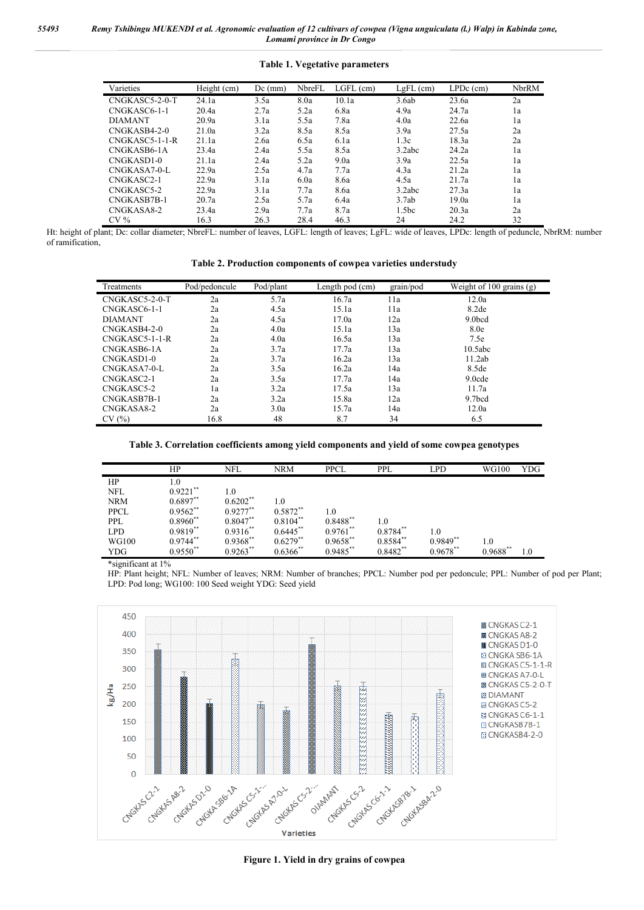#### **Table 1. Vegetative parameters**

| Varieties      | Height (cm) | $Dc$ (mm) | NbreFL | $LGFL$ (cm) | LgFL (cm)         | $LPDc$ (cm) | NbrRM |
|----------------|-------------|-----------|--------|-------------|-------------------|-------------|-------|
| CNGKASC5-2-0-T | 24.1a       | 3.5a      | 8.0a   | 10.1a       | 3.6ab             | 23.6a       | 2a    |
| CNGKASC6-1-1   | 20.4a       | 2.7a      | 5.2a   | 6.8a        | 4.9a              | 24.7a       | 1a    |
| <b>DIAMANT</b> | 20.9a       | 3.1a      | 5.5a   | 7.8a        | 4.0a              | 22.6a       | 1a    |
| CNGKASB4-2-0   | 21.0a       | 3.2a      | 8.5a   | 8.5a        | 3.9a              | 27.5a       | 2a    |
| CNGKASC5-1-1-R | 21.1a       | 2.6a      | 6.5a   | 6.1a        | 1.3c              | 18.3a       | 2a    |
| CNGKASB6-1A    | 23.4a       | 2.4a      | 5.5a   | 8.5a        | 3.2abc            | 24.2a       | 1a    |
| CNGKASD1-0     | 21.1a       | 2.4a      | 5.2a   | 9.0a        | 3.9a              | 22.5a       | 1a    |
| CNGKASA7-0-L   | 22.9a       | 2.5a      | 4.7a   | 7.7a        | 4.3a              | 21.2a       | 1a    |
| CNGKASC2-1     | 22.9a       | 3.1a      | 6.0a   | 8.6a        | 4.5a              | 21.7a       | 1a    |
| CNGKASC5-2     | 22.9a       | 3.1a      | 7.7a   | 8.6a        | 3.2abc            | 27.3a       | 1a    |
| CNGKASB7B-1    | 20.7a       | 2.5a      | 5.7a   | 6.4a        | 3.7ab             | 19.0a       | 1a    |
| CNGKASA8-2     | 23.4a       | 2.9a      | 7.7a   | 8.7a        | 1.5 <sub>bc</sub> | 20.3a       | 2a    |
| $CV\%$         | 16.3        | 26.3      | 28.4   | 46.3        | 24                | 24.2        | 32    |

Ht: height of plant; Dc: collar diameter; NbreFL: number of leaves, LGFL: length of leaves; LgFL: wide of leaves, LPDc: length of peduncle, NbrRM: number of ramification,

**Table 2. Production components of cowpea varieties understudy**

| Treatments             | Pod/pedoncule | Pod/plant | Length pod (cm) | grain/pod | Weight of 100 grains (g) |
|------------------------|---------------|-----------|-----------------|-----------|--------------------------|
| CNGKASC5-2-0-T         | 2a            | 5.7a      | 16.7a           | 11a       | 12.0a                    |
| CNGKASC6-1-1           | 2a            | 4.5a      | 15.1a           | 11a       | 8.2de                    |
| <b>DIAMANT</b>         | 2a            | 4.5a      | 17.0a           | 12a       | 9.0bcd                   |
| CNGKASB4-2-0           | 2a            | 4.0a      | 15.1a           | 13a       | 8.0e                     |
| $CNGKASC5-1-1-R$       | 2a            | 4.0a      | 16.5a           | 13a       | 7.5e                     |
| CNGKASB6-1A            | 2a            | 3.7a      | 17.7a           | 13a       | 10.5abc                  |
| CNGKASD <sub>1-0</sub> | 2a            | 3.7a      | 16.2a           | 13a       | 11.2ab                   |
| CNGKASA7-0-L           | 2a            | 3.5a      | 16.2a           | 14a       | 8.5de                    |
| CNGKASC2-1             | 2a            | 3.5a      | 17.7a           | 14a       | 9.0cde                   |
| CNGKASC5-2             | 1a            | 3.2a      | 17.5a           | 13a       | 11.7a                    |
| CNGKASB7B-1            | 2a            | 3.2a      | 15.8a           | 12a       | 9.7 <sub>bcd</sub>       |
| CNGKASA8-2             | 2a            | 3.0a      | 15.7a           | 14a       | 12.0a                    |
| CV(%)                  | 16.8          | 48        | 8.7             | 34        | 6.5                      |

#### **Table 3. Correlation coefficients among yield components and yield of some cowpea genotypes**

|             | HP                     | <b>NFL</b>  | <b>NRM</b>    | <b>PPCL</b> | <b>PPL</b> | LPD        | <b>WG100</b> | <b>YDG</b> |
|-------------|------------------------|-------------|---------------|-------------|------------|------------|--------------|------------|
| HP          | 1.0                    |             |               |             |            |            |              |            |
| <b>NFL</b>  | $0.9221$ **            | 1.0         |               |             |            |            |              |            |
| <b>NRM</b>  | $0.6897**$             | $0.6202**$  | $1.0\,$       |             |            |            |              |            |
| <b>PPCL</b> | $0.9562$ **            | $0.9277**$  | $0.5872**$    | 1.0         |            |            |              |            |
| <b>PPL</b>  | $0.8960**$             | $0.8047**$  | $0.8104**$    | $0.8488**$  | 1.0        |            |              |            |
| <b>LPD</b>  | $0.9819**$             | $0.9316**$  | $0.6445$ **   | $0.9761$ ** | $0.8784**$ | 1.0        |              |            |
| WG100       | $0.9744$ <sup>**</sup> | $0.9368**$  | $0.6279**$    | $0.9658$ ** | $0.8584**$ | $0.9849**$ | 1.0          |            |
| YDG         | $0.9550**$             | $0.9263$ ** | $0.6366^{**}$ | $0.9485$ ** | $0.8482**$ | 0.9678**   | $0.9688**$   | 1.0        |

\*significant at 1%

HP: Plant height; NFL: Number of leaves; NRM: Number of branches; PPCL: Number pod per pedoncule; PPL: Number of pod per Plant; LPD: Pod long; WG100: 100 Seed weight YDG: Seed yield



**Figure 1. Yield in dry grains of cowpea**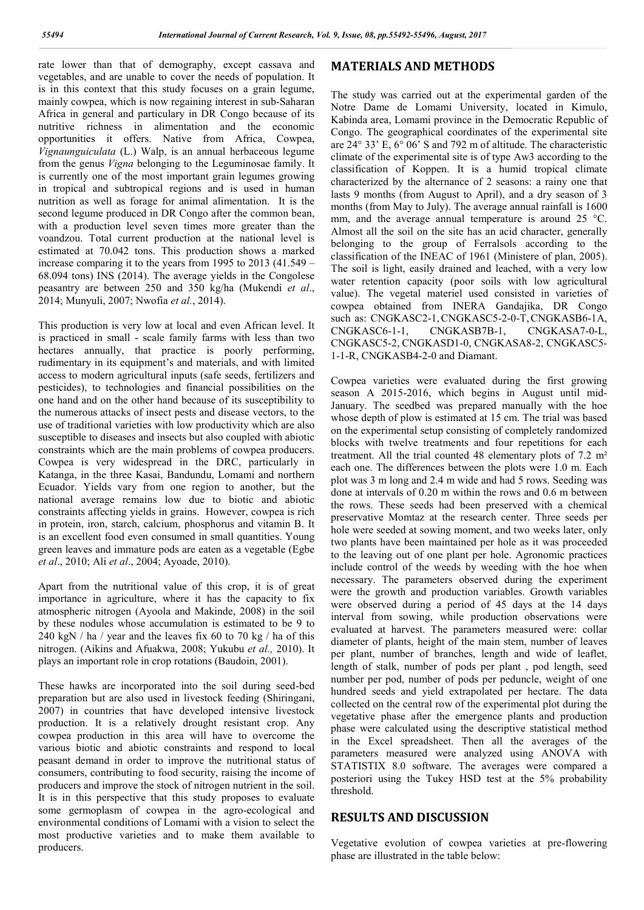rate lower than that of demography, except cassava and vegetables, and are unable to cover the needs of population. It is in this context that this study focuses on a grain legume, mainly cowpea, which is now regaining interest in sub-Saharan Africa in general and particulary in DR Congo because of its nutritive richness in alimentation and the economic opportunities it offers. Native from Africa, Cowpea, *Vignaunguiculata* (L.) Walp, is an annual herbaceous legume from the genus *Vigna* belonging to the Leguminosae family. It is currently one of the most important grain legumes growing in tropical and subtropical regions and is used in human nutrition as well as forage for animal alimentation. It is the second legume produced in DR Congo after the common bean, with a production level seven times more greater than the voandzou. Total current production at the national level is estimated at 70.042 tons. This production shows a marked increase comparing it to the years from 1995 to 2013 (41.549 – 68.094 tons) INS (2014). The average yields in the Congolese peasantry are between 250 and 350 kg/ha (Mukendi *et al*., 2014; Munyuli, 2007; Nwofia *et al.*, 2014).

This production is very low at local and even African level. It is practiced in small - scale family farms with less than two hectares annually, that practice is poorly performing, rudimentary in its equipment's and materials, and with limited access to modern agricultural inputs (safe seeds, fertilizers and pesticides), to technologies and financial possibilities on the one hand and on the other hand because of its susceptibility to the numerous attacks of insect pests and disease vectors, to the use of traditional varieties with low productivity which are also susceptible to diseases and insects but also coupled with abiotic constraints which are the main problems of cowpea producers. Cowpea is very widespread in the DRC, particularly in Katanga, in the three Kasai, Bandundu, Lomami and northern Ecuador. Yields vary from one region to another, but the national average remains low due to biotic and abiotic constraints affecting yields in grains. However, cowpea is rich in protein, iron, starch, calcium, phosphorus and vitamin B. It is an excellent food even consumed in small quantities. Young green leaves and immature pods are eaten as a vegetable (Egbe *et al*., 2010; Ali *et al*., 2004; Ayoade, 2010).

Apart from the nutritional value of this crop, it is of great importance in agriculture, where it has the capacity to fix atmospheric nitrogen (Ayoola and Makinde, 2008) in the soil by these nodules whose accumulation is estimated to be 9 to 240 kgN / ha / year and the leaves fix 60 to 70 kg / ha of this nitrogen. (Aikins and Afuakwa, 2008; Yukubu *et al.,* 2010). It plays an important role in crop rotations (Baudoin, 2001).

These hawks are incorporated into the soil during seed-bed preparation but are also used in livestock feeding (Shiringani, 2007) in countries that have developed intensive livestock production. It is a relatively drought resistant crop. Any cowpea production in this area will have to overcome the various biotic and abiotic constraints and respond to local peasant demand in order to improve the nutritional status of consumers, contributing to food security, raising the income of producers and improve the stock of nitrogen nutrient in the soil. It is in this perspective that this study proposes to evaluate some germoplasm of cowpea in the agro-ecological and environmental conditions of Lomami with a vision to select the most productive varieties and to make them available to producers.

#### **MATERIALS AND METHODS**

The study was carried out at the experimental garden of the Notre Dame de Lomami University, located in Kimulo, Kabinda area, Lomami province in the Democratic Republic of Congo. The geographical coordinates of the experimental site are 24° 33' E, 6° 06' S and 792 m of altitude. The characteristic climate of the experimental site is of type Aw3 according to the classification of Koppen. It is a humid tropical climate characterized by the alternance of 2 seasons: a rainy one that lasts 9 months (from August to April), and a dry season of 3 months (from May to July). The average annual rainfall is 1600 mm, and the average annual temperature is around 25 °C. Almost all the soil on the site has an acid character, generally belonging to the group of Ferralsols according to the classification of the INEAC of 1961 (Ministere of plan, 2005). The soil is light, easily drained and leached, with a very low water retention capacity (poor soils with low agricultural value). The vegetal materiel used consisted in varieties of cowpea obtained from INERA Gandajika, DR Congo such as: CNGKASC2-1, CNGKASC5-2-0-T, CNGKASB6-1A, CNGKASC6-1-1, CNGKASB7B-1, CNGKASA7-0-L, CNGKASC5-2, CNGKASD1-0, CNGKASA8-2, CNGKASC5- 1-1-R, CNGKASB4-2-0 and Diamant.

Cowpea varieties were evaluated during the first growing season A 2015-2016, which begins in August until mid-January. The seedbed was prepared manually with the hoe whose depth of plow is estimated at 15 cm. The trial was based on the experimental setup consisting of completely randomized blocks with twelve treatments and four repetitions for each treatment. All the trial counted 48 elementary plots of 7.2 m² each one. The differences between the plots were 1.0 m. Each plot was 3 m long and 2.4 m wide and had 5 rows. Seeding was done at intervals of 0.20 m within the rows and 0.6 m between the rows. These seeds had been preserved with a chemical preservative Momtaz at the research center. Three seeds per hole were seeded at sowing moment, and two weeks later, only two plants have been maintained per hole as it was proceeded to the leaving out of one plant per hole. Agronomic practices include control of the weeds by weeding with the hoe when necessary. The parameters observed during the experiment were the growth and production variables. Growth variables were observed during a period of 45 days at the 14 days interval from sowing, while production observations were evaluated at harvest. The parameters measured were: collar diameter of plants, height of the main stem, number of leaves per plant, number of branches, length and wide of leaflet, length of stalk, number of pods per plant , pod length, seed number per pod, number of pods per peduncle, weight of one hundred seeds and yield extrapolated per hectare. The data collected on the central row of the experimental plot during the vegetative phase after the emergence plants and production phase were calculated using the descriptive statistical method in the Excel spreadsheet. Then all the averages of the parameters measured were analyzed using ANOVA with STATISTIX 8.0 software. The averages were compared a posteriori using the Tukey HSD test at the 5% probability threshold.

### **RESULTS AND DISCUSSION**

Vegetative evolution of cowpea varieties at pre-flowering phase are illustrated in the table below: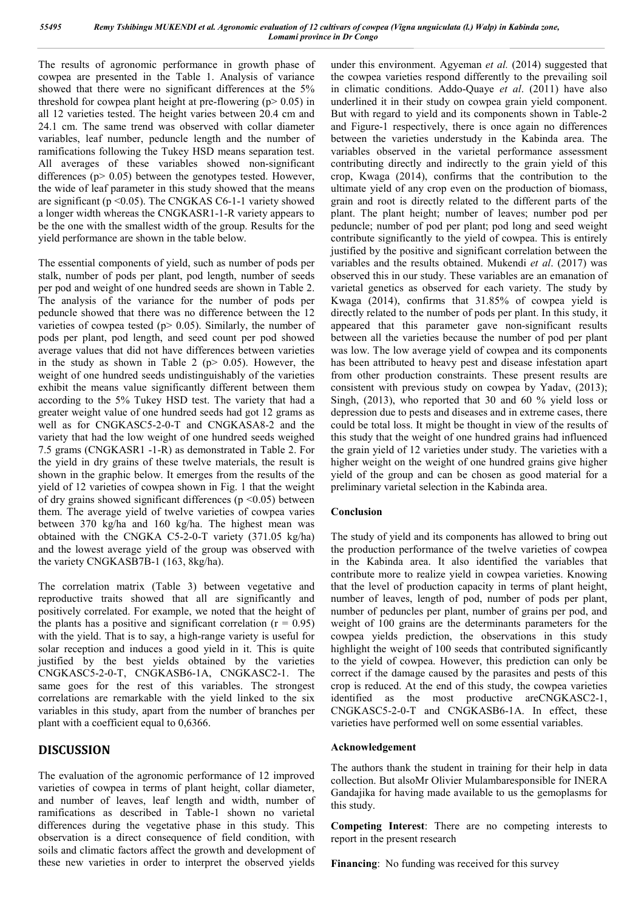The results of agronomic performance in growth phase of cowpea are presented in the Table 1. Analysis of variance showed that there were no significant differences at the 5% threshold for cowpea plant height at pre-flowering  $(p > 0.05)$  in all 12 varieties tested. The height varies between 20.4 cm and 24.1 cm. The same trend was observed with collar diameter variables, leaf number, peduncle length and the number of ramifications following the Tukey HSD means separation test. All averages of these variables showed non-significant differences ( $p$  > 0.05) between the genotypes tested. However, the wide of leaf parameter in this study showed that the means are significant ( $p \le 0.05$ ). The CNGKAS C6-1-1 variety showed a longer width whereas the CNGKASR1-1-R variety appears to be the one with the smallest width of the group. Results for the yield performance are shown in the table below.

The essential components of yield, such as number of pods per stalk, number of pods per plant, pod length, number of seeds per pod and weight of one hundred seeds are shown in Table 2. The analysis of the variance for the number of pods per peduncle showed that there was no difference between the 12 varieties of cowpea tested ( $p$  > 0.05). Similarly, the number of pods per plant, pod length, and seed count per pod showed average values that did not have differences between varieties in the study as shown in Table 2 ( $p$   $>$  0.05). However, the weight of one hundred seeds undistinguishably of the varieties exhibit the means value significantly different between them according to the 5% Tukey HSD test. The variety that had a greater weight value of one hundred seeds had got 12 grams as well as for CNGKASC5-2-0-T and CNGKASA8-2 and the variety that had the low weight of one hundred seeds weighed 7.5 grams (CNGKASR1 -1-R) as demonstrated in Table 2. For the yield in dry grains of these twelve materials, the result is shown in the graphic below. It emerges from the results of the yield of 12 varieties of cowpea shown in Fig. 1 that the weight of dry grains showed significant differences ( $p \le 0.05$ ) between them. The average yield of twelve varieties of cowpea varies between 370 kg/ha and 160 kg/ha. The highest mean was obtained with the CNGKA C5-2-0-T variety (371.05 kg/ha) and the lowest average yield of the group was observed with the variety CNGKASB7B-1 (163, 8kg/ha).

The correlation matrix (Table 3) between vegetative and reproductive traits showed that all are significantly and positively correlated. For example, we noted that the height of the plants has a positive and significant correlation  $(r = 0.95)$ with the yield. That is to say, a high-range variety is useful for solar reception and induces a good yield in it. This is quite justified by the best yields obtained by the varieties CNGKASC5-2-0-T, CNGKASB6-1A, CNGKASC2-1. The same goes for the rest of this variables. The strongest correlations are remarkable with the yield linked to the six variables in this study, apart from the number of branches per plant with a coefficient equal to 0,6366.

## **DISCUSSION**

The evaluation of the agronomic performance of 12 improved varieties of cowpea in terms of plant height, collar diameter, and number of leaves, leaf length and width, number of ramifications as described in Table-1 shown no varietal differences during the vegetative phase in this study. This observation is a direct consequence of field condition, with soils and climatic factors affect the growth and development of these new varieties in order to interpret the observed yields

under this environment. Agyeman *et al.* (2014) suggested that the cowpea varieties respond differently to the prevailing soil in climatic conditions. Addo-Quaye *et al*. (2011) have also underlined it in their study on cowpea grain yield component. But with regard to yield and its components shown in Table-2 and Figure-1 respectively, there is once again no differences between the varieties understudy in the Kabinda area. The variables observed in the varietal performance assessment contributing directly and indirectly to the grain yield of this crop, Kwaga (2014), confirms that the contribution to the ultimate yield of any crop even on the production of biomass, grain and root is directly related to the different parts of the plant. The plant height; number of leaves; number pod per peduncle; number of pod per plant; pod long and seed weight contribute significantly to the yield of cowpea. This is entirely justified by the positive and significant correlation between the variables and the results obtained. Mukendi *et al*. (2017) was observed this in our study. These variables are an emanation of varietal genetics as observed for each variety. The study by Kwaga (2014), confirms that 31.85% of cowpea yield is directly related to the number of pods per plant. In this study, it appeared that this parameter gave non-significant results between all the varieties because the number of pod per plant was low. The low average yield of cowpea and its components has been attributed to heavy pest and disease infestation apart from other production constraints. These present results are consistent with previous study on cowpea by Yadav, (2013); Singh, (2013), who reported that 30 and 60 % yield loss or depression due to pests and diseases and in extreme cases, there could be total loss. It might be thought in view of the results of this study that the weight of one hundred grains had influenced the grain yield of 12 varieties under study. The varieties with a higher weight on the weight of one hundred grains give higher yield of the group and can be chosen as good material for a preliminary varietal selection in the Kabinda area.

### **Conclusion**

The study of yield and its components has allowed to bring out the production performance of the twelve varieties of cowpea in the Kabinda area. It also identified the variables that contribute more to realize yield in cowpea varieties. Knowing that the level of production capacity in terms of plant height, number of leaves, length of pod, number of pods per plant, number of peduncles per plant, number of grains per pod, and weight of 100 grains are the determinants parameters for the cowpea yields prediction, the observations in this study highlight the weight of 100 seeds that contributed significantly to the yield of cowpea. However, this prediction can only be correct if the damage caused by the parasites and pests of this crop is reduced. At the end of this study, the cowpea varieties identified as the most productive areCNGKASC2-1, CNGKASC5-2-0-T and CNGKASB6-1A. In effect, these varieties have performed well on some essential variables.

#### **Acknowledgement**

The authors thank the student in training for their help in data collection. But alsoMr Olivier Mulambaresponsible for INERA Gandajika for having made available to us the gemoplasms for this study.

**Competing Interest**: There are no competing interests to report in the present research

**Financing**: No funding was received for this survey